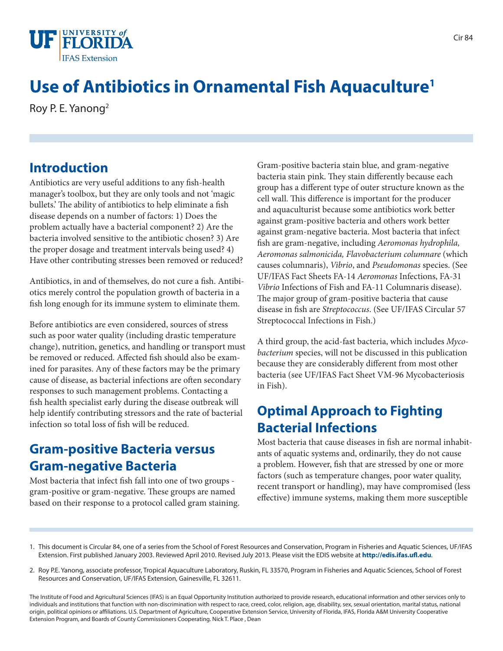

# **Use of Antibiotics in Ornamental Fish Aquaculture1**

Roy P. E. Yanong2

#### **Introduction**

Antibiotics are very useful additions to any fish-health manager's toolbox, but they are only tools and not 'magic bullets.' The ability of antibiotics to help eliminate a fish disease depends on a number of factors: 1) Does the problem actually have a bacterial component? 2) Are the bacteria involved sensitive to the antibiotic chosen? 3) Are the proper dosage and treatment intervals being used? 4) Have other contributing stresses been removed or reduced?

Antibiotics, in and of themselves, do not cure a fish. Antibiotics merely control the population growth of bacteria in a fish long enough for its immune system to eliminate them.

Before antibiotics are even considered, sources of stress such as poor water quality (including drastic temperature change), nutrition, genetics, and handling or transport must be removed or reduced. Affected fish should also be examined for parasites. Any of these factors may be the primary cause of disease, as bacterial infections are often secondary responses to such management problems. Contacting a fish health specialist early during the disease outbreak will help identify contributing stressors and the rate of bacterial infection so total loss of fish will be reduced.

#### **Gram-positive Bacteria versus Gram-negative Bacteria**

Most bacteria that infect fish fall into one of two groups gram-positive or gram-negative. These groups are named based on their response to a protocol called gram staining. Gram-positive bacteria stain blue, and gram-negative bacteria stain pink. They stain differently because each group has a different type of outer structure known as the cell wall. This difference is important for the producer and aquaculturist because some antibiotics work better against gram-positive bacteria and others work better against gram-negative bacteria. Most bacteria that infect fish are gram-negative, including *Aeromonas hydrophila, Aeromonas salmonicida, Flavobacterium columnare* (which causes columnaris), *Vibrio*, and *Pseudomonas* species. (See UF/IFAS Fact Sheets FA-14 *Aeromonas* Infections, FA-31 *Vibrio* Infections of Fish and FA-11 Columnaris disease). The major group of gram-positive bacteria that cause disease in fish are *Streptococcus*. (See UF/IFAS Circular 57 Streptococcal Infections in Fish.)

A third group, the acid-fast bacteria, which includes *Mycobacterium* species, will not be discussed in this publication because they are considerably different from most other bacteria (see UF/IFAS Fact Sheet VM-96 Mycobacteriosis in Fish).

#### **Optimal Approach to Fighting Bacterial Infections**

Most bacteria that cause diseases in fish are normal inhabitants of aquatic systems and, ordinarily, they do not cause a problem. However, fish that are stressed by one or more factors (such as temperature changes, poor water quality, recent transport or handling), may have compromised (less effective) immune systems, making them more susceptible

- 1. This document is Circular 84, one of a series from the School of Forest Resources and Conservation, Program in Fisheries and Aquatic Sciences, UF/IFAS Extension. First published January 2003. Reviewed April 2010. Revised July 2013. Please visit the EDIS website at **http://edis.ifas.ufl.edu**.
- 2. Roy P.E. Yanong, associate professor, Tropical Aquaculture Laboratory, Ruskin, FL 33570, Program in Fisheries and Aquatic Sciences, School of Forest Resources and Conservation, UF/IFAS Extension, Gainesville, FL 32611.

The Institute of Food and Agricultural Sciences (IFAS) is an Equal Opportunity Institution authorized to provide research, educational information and other services only to individuals and institutions that function with non-discrimination with respect to race, creed, color, religion, age, disability, sex, sexual orientation, marital status, national origin, political opinions or affiliations. U.S. Department of Agriculture, Cooperative Extension Service, University of Florida, IFAS, Florida A&M University Cooperative Extension Program, and Boards of County Commissioners Cooperating. Nick T. Place , Dean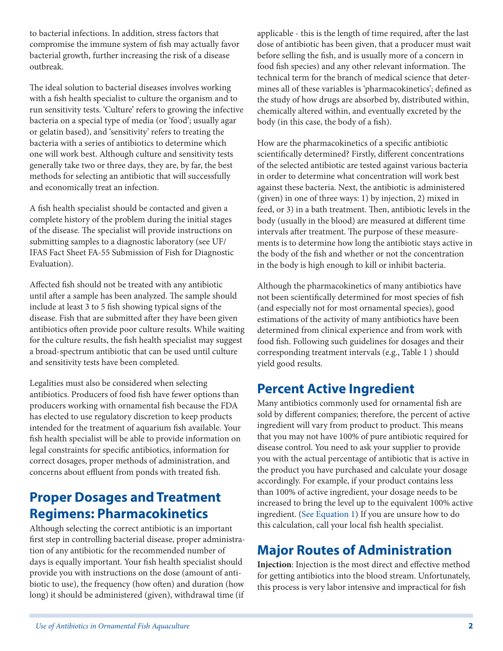to bacterial infections. In addition, stress factors that compromise the immune system of fish may actually favor bacterial growth, further increasing the risk of a disease outbreak.

The ideal solution to bacterial diseases involves working with a fish health specialist to culture the organism and to run sensitivity tests. 'Culture' refers to growing the infective bacteria on a special type of media (or 'food'; usually agar or gelatin based), and 'sensitivity' refers to treating the bacteria with a series of antibiotics to determine which one will work best. Although culture and sensitivity tests generally take two or three days, they are, by far, the best methods for selecting an antibiotic that will successfully and economically treat an infection.

A fish health specialist should be contacted and given a complete history of the problem during the initial stages of the disease. The specialist will provide instructions on submitting samples to a diagnostic laboratory (see UF/ IFAS Fact Sheet FA-55 Submission of Fish for Diagnostic Evaluation).

Affected fish should not be treated with any antibiotic until after a sample has been analyzed. The sample should include at least 3 to 5 fish showing typical signs of the disease. Fish that are submitted after they have been given antibiotics often provide poor culture results. While waiting for the culture results, the fish health specialist may suggest a broad-spectrum antibiotic that can be used until culture and sensitivity tests have been completed.

Legalities must also be considered when selecting antibiotics. Producers of food fish have fewer options than producers working with ornamental fish because the FDA has elected to use regulatory discretion to keep products intended for the treatment of aquarium fish available. Your fish health specialist will be able to provide information on legal constraints for specific antibiotics, information for correct dosages, proper methods of administration, and concerns about effluent from ponds with treated fish.

#### **Proper Dosages and Treatment Regimens: Pharmacokinetics**

Although selecting the correct antibiotic is an important first step in controlling bacterial disease, proper administration of any antibiotic for the recommended number of days is equally important. Your fish health specialist should provide you with instructions on the dose (amount of antibiotic to use), the frequency (how often) and duration (how long) it should be administered (given), withdrawal time (if

applicable - this is the length of time required, after the last dose of antibiotic has been given, that a producer must wait before selling the fish, and is usually more of a concern in food fish species) and any other relevant information. The technical term for the branch of medical science that determines all of these variables is 'pharmacokinetics'; defined as the study of how drugs are absorbed by, distributed within, chemically altered within, and eventually excreted by the body (in this case, the body of a fish).

How are the pharmacokinetics of a specific antibiotic scientifically determined? Firstly, different concentrations of the selected antibiotic are tested against various bacteria in order to determine what concentration will work best against these bacteria. Next, the antibiotic is administered (given) in one of three ways: 1) by injection, 2) mixed in feed, or 3) in a bath treatment. Then, antibiotic levels in the body (usually in the blood) are measured at different time intervals after treatment. The purpose of these measurements is to determine how long the antibiotic stays active in the body of the fish and whether or not the concentration in the body is high enough to kill or inhibit bacteria.

Although the pharmacokinetics of many antibiotics have not been scientifically determined for most species of fish (and especially not for most ornamental species), good estimations of the activity of many antibiotics have been determined from clinical experience and from work with food fish. Following such guidelines for dosages and their corresponding treatment intervals (e.g., Table 1 ) should yield good results.

## **Percent Active Ingredient**

Many antibiotics commonly used for ornamental fish are sold by different companies; therefore, the percent of active ingredient will vary from product to product. This means that you may not have 100% of pure antibiotic required for disease control. You need to ask your supplier to provide you with the actual percentage of antibiotic that is active in the product you have purchased and calculate your dosage accordingly. For example, if your product contains less than 100% of active ingredient, your dosage needs to be increased to bring the level up to the equivalent 100% active ingredient. (See Equation 1) If you are unsure how to do this calculation, call your local fish health specialist.

## **Major Routes of Administration**

**Injection**: Injection is the most direct and effective method for getting antibiotics into the blood stream. Unfortunately, this process is very labor intensive and impractical for fish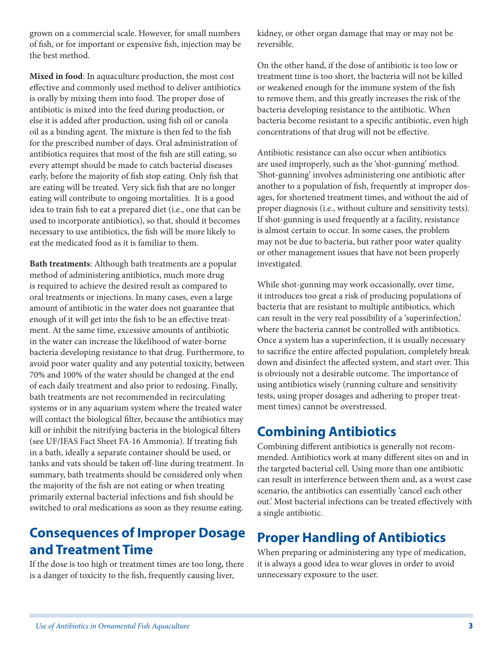grown on a commercial scale. However, for small numbers of fish, or for important or expensive fish, injection may be the best method.

**Mixed in food**: In aquaculture production, the most cost effective and commonly used method to deliver antibiotics is orally by mixing them into food. The proper dose of antibiotic is mixed into the feed during production, or else it is added after production, using fish oil or canola oil as a binding agent. The mixture is then fed to the fish for the prescribed number of days. Oral administration of antibiotics requires that most of the fish are still eating, so every attempt should be made to catch bacterial diseases early, before the majority of fish stop eating. Only fish that are eating will be treated. Very sick fish that are no longer eating will contribute to ongoing mortalities. It is a good idea to train fish to eat a prepared diet (i.e., one that can be used to incorporate antibiotics), so that, should it becomes necessary to use antibiotics, the fish will be more likely to eat the medicated food as it is familiar to them.

**Bath treatments**: Although bath treatments are a popular method of administering antibiotics, much more drug is required to achieve the desired result as compared to oral treatments or injections. In many cases, even a large amount of antibiotic in the water does not guarantee that enough of it will get into the fish to be an effective treatment. At the same time, excessive amounts of antibiotic in the water can increase the likelihood of water-borne bacteria developing resistance to that drug. Furthermore, to avoid poor water quality and any potential toxicity, between 70% and 100% of the water should be changed at the end of each daily treatment and also prior to redosing. Finally, bath treatments are not recommended in recirculating systems or in any aquarium system where the treated water will contact the biological filter, because the antibiotics may kill or inhibit the nitrifying bacteria in the biological filters (see UF/IFAS Fact Sheet FA-16 Ammonia). If treating fish in a bath, ideally a separate container should be used, or tanks and vats should be taken off-line during treatment. In summary, bath treatments should be considered only when the majority of the fish are not eating or when treating primarily external bacterial infections and fish should be switched to oral medications as soon as they resume eating.

#### **Consequences of Improper Dosage and Treatment Time**

If the dose is too high or treatment times are too long, there is a danger of toxicity to the fish, frequently causing liver,

kidney, or other organ damage that may or may not be reversible.

On the other hand, if the dose of antibiotic is too low or treatment time is too short, the bacteria will not be killed or weakened enough for the immune system of the fish to remove them, and this greatly increases the risk of the bacteria developing resistance to the antibiotic. When bacteria become resistant to a specific antibiotic, even high concentrations of that drug will not be effective.

Antibiotic resistance can also occur when antibiotics are used improperly, such as the 'shot-gunning' method. 'Shot-gunning' involves administering one antibiotic after another to a population of fish, frequently at improper dosages, for shortened treatment times, and without the aid of proper diagnosis (i.e., without culture and sensitivity tests). If shot-gunning is used frequently at a facility, resistance is almost certain to occur. In some cases, the problem may not be due to bacteria, but rather poor water quality or other management issues that have not been properly investigated.

While shot-gunning may work occasionally, over time, it introduces too great a risk of producing populations of bacteria that are resistant to multiple antibiotics, which can result in the very real possibility of a 'superinfection,' where the bacteria cannot be controlled with antibiotics. Once a system has a superinfection, it is usually necessary to sacrifice the entire affected population, completely break down and disinfect the affected system, and start over. This is obviously not a desirable outcome. The importance of using antibiotics wisely (running culture and sensitivity tests, using proper dosages and adhering to proper treatment times) cannot be overstressed.

## **Combining Antibiotics**

Combining different antibiotics is generally not recommended. Antibiotics work at many different sites on and in the targeted bacterial cell. Using more than one antibiotic can result in interference between them and, as a worst case scenario, the antibiotics can essentially 'cancel each other out.' Most bacterial infections can be treated effectively with a single antibiotic.

# **Proper Handling of Antibiotics**

When preparing or administering any type of medication, it is always a good idea to wear gloves in order to avoid unnecessary exposure to the user.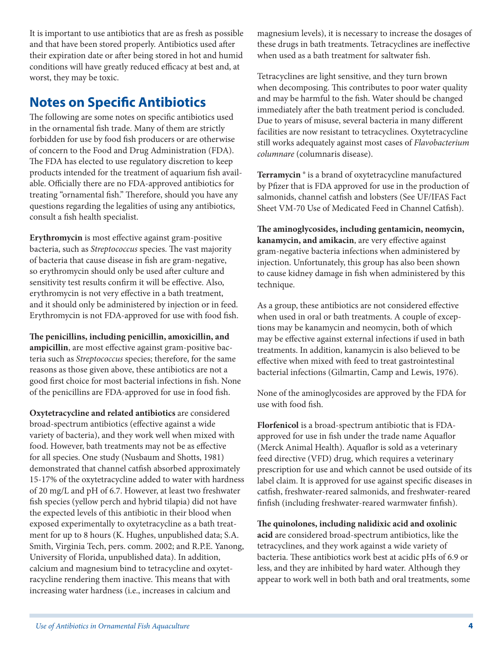It is important to use antibiotics that are as fresh as possible and that have been stored properly. Antibiotics used after their expiration date or after being stored in hot and humid conditions will have greatly reduced efficacy at best and, at worst, they may be toxic.

#### **Notes on Specific Antibiotics**

The following are some notes on specific antibiotics used in the ornamental fish trade. Many of them are strictly forbidden for use by food fish producers or are otherwise of concern to the Food and Drug Administration (FDA). The FDA has elected to use regulatory discretion to keep products intended for the treatment of aquarium fish available. Officially there are no FDA-approved antibiotics for treating "ornamental fish." Therefore, should you have any questions regarding the legalities of using any antibiotics, consult a fish health specialist.

**Erythromycin** is most effective against gram-positive bacteria, such as *Streptococcus* species. The vast majority of bacteria that cause disease in fish are gram-negative, so erythromycin should only be used after culture and sensitivity test results confirm it will be effective. Also, erythromycin is not very effective in a bath treatment, and it should only be administered by injection or in feed. Erythromycin is not FDA-approved for use with food fish.

**The penicillins, including penicillin, amoxicillin, and ampicillin**, are most effective against gram-positive bacteria such as *Streptococcus* species; therefore, for the same reasons as those given above, these antibiotics are not a good first choice for most bacterial infections in fish. None of the penicillins are FDA-approved for use in food fish.

**Oxytetracycline and related antibiotics** are considered broad-spectrum antibiotics (effective against a wide variety of bacteria), and they work well when mixed with food. However, bath treatments may not be as effective for all species. One study (Nusbaum and Shotts, 1981) demonstrated that channel catfish absorbed approximately 15-17% of the oxytetracycline added to water with hardness of 20 mg/L and pH of 6.7. However, at least two freshwater fish species (yellow perch and hybrid tilapia) did not have the expected levels of this antibiotic in their blood when exposed experimentally to oxytetracycline as a bath treatment for up to 8 hours (K. Hughes, unpublished data; S.A. Smith, Virginia Tech, pers. comm. 2002; and R.P.E. Yanong, University of Florida, unpublished data). In addition, calcium and magnesium bind to tetracycline and oxytetracycline rendering them inactive. This means that with increasing water hardness (i.e., increases in calcium and

magnesium levels), it is necessary to increase the dosages of these drugs in bath treatments. Tetracyclines are ineffective when used as a bath treatment for saltwater fish.

Tetracyclines are light sensitive, and they turn brown when decomposing. This contributes to poor water quality and may be harmful to the fish. Water should be changed immediately after the bath treatment period is concluded. Due to years of misuse, several bacteria in many different facilities are now resistant to tetracyclines. Oxytetracycline still works adequately against most cases of *Flavobacterium columnare* (columnaris disease).

**Terramycin ®** is a brand of oxytetracycline manufactured by Pfizer that is FDA approved for use in the production of salmonids, channel catfish and lobsters (See UF/IFAS Fact Sheet VM-70 Use of Medicated Feed in Channel Catfish).

**The aminoglycosides, including gentamicin, neomycin, kanamycin, and amikacin**, are very effective against gram-negative bacteria infections when administered by injection. Unfortunately, this group has also been shown to cause kidney damage in fish when administered by this technique.

As a group, these antibiotics are not considered effective when used in oral or bath treatments. A couple of exceptions may be kanamycin and neomycin, both of which may be effective against external infections if used in bath treatments. In addition, kanamycin is also believed to be effective when mixed with feed to treat gastrointestinal bacterial infections (Gilmartin, Camp and Lewis, 1976).

None of the aminoglycosides are approved by the FDA for use with food fish.

**Florfenicol** is a broad-spectrum antibiotic that is FDAapproved for use in fish under the trade name Aquaflor (Merck Animal Health). Aquaflor is sold as a veterinary feed directive (VFD) drug, which requires a veterinary prescription for use and which cannot be used outside of its label claim. It is approved for use against specific diseases in catfish, freshwater-reared salmonids, and freshwater-reared finfish (including freshwater-reared warmwater finfish).

**The quinolones, including nalidixic acid and oxolinic acid** are considered broad-spectrum antibiotics, like the tetracyclines, and they work against a wide variety of bacteria. These antibiotics work best at acidic pHs of 6.9 or less, and they are inhibited by hard water. Although they appear to work well in both bath and oral treatments, some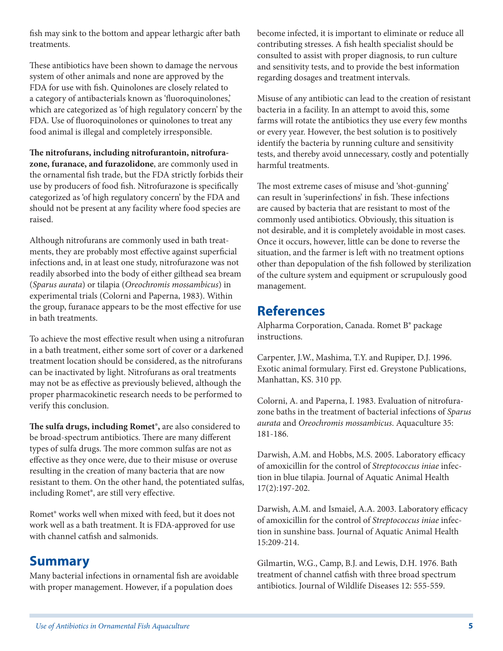fish may sink to the bottom and appear lethargic after bath treatments.

These antibiotics have been shown to damage the nervous system of other animals and none are approved by the FDA for use with fish. Quinolones are closely related to a category of antibacterials known as 'fluoroquinolones,' which are categorized as 'of high regulatory concern' by the FDA. Use of fluoroquinolones or quinolones to treat any food animal is illegal and completely irresponsible.

**The nitrofurans, including nitrofurantoin, nitrofurazone, furanace, and furazolidone**, are commonly used in the ornamental fish trade, but the FDA strictly forbids their use by producers of food fish. Nitrofurazone is specifically categorized as 'of high regulatory concern' by the FDA and should not be present at any facility where food species are raised.

Although nitrofurans are commonly used in bath treatments, they are probably most effective against superficial infections and, in at least one study, nitrofurazone was not readily absorbed into the body of either gilthead sea bream (*Sparus aurata*) or tilapia (*Oreochromis mossambicus*) in experimental trials (Colorni and Paperna, 1983). Within the group, furanace appears to be the most effective for use in bath treatments.

To achieve the most effective result when using a nitrofuran in a bath treatment, either some sort of cover or a darkened treatment location should be considered, as the nitrofurans can be inactivated by light. Nitrofurans as oral treatments may not be as effective as previously believed, although the proper pharmacokinetic research needs to be performed to verify this conclusion.

**The sulfa drugs, including Romet®,** are also considered to be broad-spectrum antibiotics. There are many different types of sulfa drugs. The more common sulfas are not as effective as they once were, due to their misuse or overuse resulting in the creation of many bacteria that are now resistant to them. On the other hand, the potentiated sulfas, including Romet®, are still very effective.

Romet® works well when mixed with feed, but it does not work well as a bath treatment. It is FDA-approved for use with channel catfish and salmonids.

#### **Summary**

Many bacterial infections in ornamental fish are avoidable with proper management. However, if a population does

become infected, it is important to eliminate or reduce all contributing stresses. A fish health specialist should be consulted to assist with proper diagnosis, to run culture and sensitivity tests, and to provide the best information regarding dosages and treatment intervals.

Misuse of any antibiotic can lead to the creation of resistant bacteria in a facility. In an attempt to avoid this, some farms will rotate the antibiotics they use every few months or every year. However, the best solution is to positively identify the bacteria by running culture and sensitivity tests, and thereby avoid unnecessary, costly and potentially harmful treatments.

The most extreme cases of misuse and 'shot-gunning' can result in 'superinfections' in fish. These infections are caused by bacteria that are resistant to most of the commonly used antibiotics. Obviously, this situation is not desirable, and it is completely avoidable in most cases. Once it occurs, however, little can be done to reverse the situation, and the farmer is left with no treatment options other than depopulation of the fish followed by sterilization of the culture system and equipment or scrupulously good management.

#### **References**

Alpharma Corporation, Canada. Romet B® package instructions.

Carpenter, J.W., Mashima, T.Y. and Rupiper, D.J. 1996. Exotic animal formulary. First ed. Greystone Publications, Manhattan, KS. 310 pp.

Colorni, A. and Paperna, I. 1983. Evaluation of nitrofurazone baths in the treatment of bacterial infections of *Sparus aurata* and *Oreochromis mossambicus*. Aquaculture 35: 181-186.

Darwish, A.M. and Hobbs, M.S. 2005. Laboratory efficacy of amoxicillin for the control of *Streptococcus iniae* infection in blue tilapia. Journal of Aquatic Animal Health 17(2):197-202.

Darwish, A.M. and Ismaiel, A.A. 2003. Laboratory efficacy of amoxicillin for the control of *Streptococcus iniae* infection in sunshine bass. Journal of Aquatic Animal Health 15:209-214.

Gilmartin, W.G., Camp, B.J. and Lewis, D.H. 1976. Bath treatment of channel catfish with three broad spectrum antibiotics. Journal of Wildlife Diseases 12: 555-559.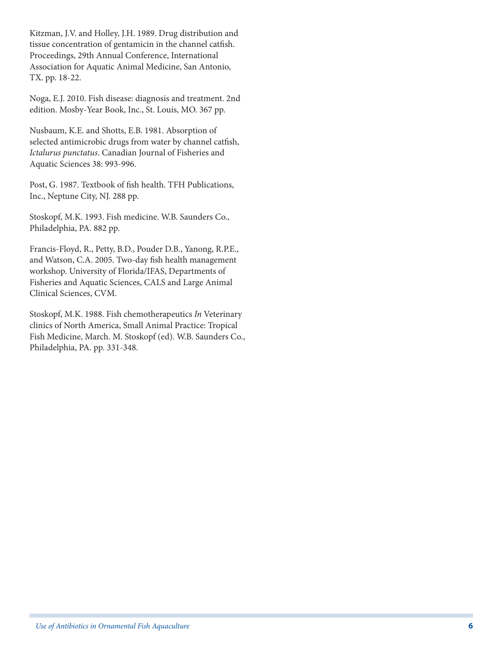Kitzman, J.V. and Holley, J.H. 1989. Drug distribution and tissue concentration of gentamicin in the channel catfish. Proceedings, 29th Annual Conference, International Association for Aquatic Animal Medicine, San Antonio, TX. pp. 18-22.

Noga, E.J. 2010. Fish disease: diagnosis and treatment. 2nd edition. Mosby-Year Book, Inc., St. Louis, MO. 367 pp.

Nusbaum, K.E. and Shotts, E.B. 1981. Absorption of selected antimicrobic drugs from water by channel catfish, *Ictalurus punctatus*. Canadian Journal of Fisheries and Aquatic Sciences 38: 993-996.

Post, G. 1987. Textbook of fish health. TFH Publications, Inc., Neptune City, NJ. 288 pp.

Stoskopf, M.K. 1993. Fish medicine. W.B. Saunders Co., Philadelphia, PA. 882 pp.

Francis-Floyd, R., Petty, B.D., Pouder D.B., Yanong, R.P.E., and Watson, C.A. 2005. Two-day fish health management workshop. University of Florida/IFAS, Departments of Fisheries and Aquatic Sciences, CALS and Large Animal Clinical Sciences, CVM.

Stoskopf, M.K. 1988. Fish chemotherapeutics *In* Veterinary clinics of North America, Small Animal Practice: Tropical Fish Medicine, March. M. Stoskopf (ed). W.B. Saunders Co., Philadelphia, PA. pp. 331-348.